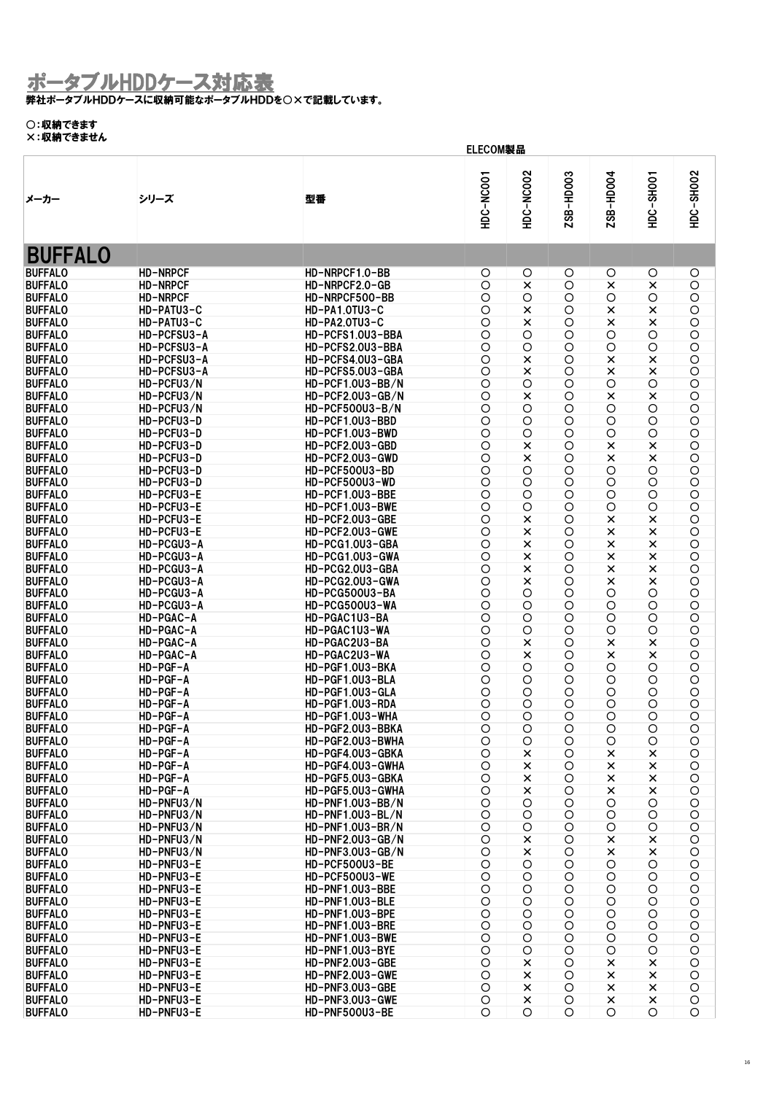弊社ポータブルHDDケースに収納可能なポータブルHDDを○×で記載しています。

#### ○:収納できます

| ハ・ベリ くこのにル                       |                            | ELECOM製品                             |                          |                     |                 |              |                                  |                          |
|----------------------------------|----------------------------|--------------------------------------|--------------------------|---------------------|-----------------|--------------|----------------------------------|--------------------------|
| メーカー                             | シリーズ                       | 型番                                   | HDC-NC001                | <b>HDC-NC002</b>    | ZSB-HD003       | 2SB-HD004    | HDC-SHOO1                        | HDC-SH002                |
|                                  |                            |                                      |                          |                     |                 |              |                                  |                          |
| <b>BUFFALO</b>                   |                            |                                      |                          |                     |                 |              |                                  |                          |
| <b>BUFFALO</b>                   | <b>HD-NRPCF</b>            | HD-NRPCF1.0-BB                       | O                        | O                   | O               | O            | $\circ$                          | O                        |
| <b>BUFFALO</b>                   | <b>HD-NRPCF</b>            | HD-NRPCF2.0-GB                       | $\circ$                  | ×                   | $\circ$         | ×            | ×                                | $\bigcirc$               |
| <b>BUFFALO</b>                   | <b>HD-NRPCF</b>            | HD-NRPCF500-BB                       | $\circ$                  | $\circ$             | O               | $\circ$      | O                                | $\circ$                  |
| <b>BUFFALO</b>                   | HD-PATU3-C                 | HD-PA1.0TU3-C                        | $\circ$                  | ×                   | $\circ$         | ×            | $\times$                         | $\bigcirc$               |
| <b>BUFFALO</b>                   | HD-PATU3-C                 | HD-PA2.0TU3-C                        | $\circ$                  | ×                   | O               | ×            | ×                                | $\bigcirc$               |
| <b>BUFFALO</b><br><b>BUFFALO</b> | HD-PCFSU3-A<br>HD-PCFSU3-A | HD-PCFS1.0U3-BBA<br>HD-PCFS2.0U3-BBA | $\bigcirc$<br>$\circ$    | $\circ$             | O<br>$\circ$    | O<br>$\circ$ | O<br>O                           | $\bigcirc$<br>$\bigcirc$ |
| <b>BUFFALO</b>                   | HD-PCFSU3-A                | HD-PCFS4.0U3-GBA                     | $\circ$                  | $\circ$<br>×        | O               | ×            | $\times$                         | $\bigcirc$               |
| <b>BUFFALO</b>                   | HD-PCFSU3-A                | HD-PCFS5.0U3-GBA                     | $\circ$                  | ×                   | $\bigcirc$      | ×            | ×                                | $\circ$                  |
| <b>BUFFALO</b>                   | HD-PCFU3/N                 | HD-PCF1.0U3-BB/N                     | $\circ$                  | $\circ$             | O               | $\circ$      | O                                | $\circ$                  |
| <b>BUFFALO</b>                   | HD-PCFU3/N                 | HD-PCF2.0U3-GB/N                     | $\circ$                  | ×                   | $\circ$         | ×            | $\times$                         | $\bigcirc$               |
| <b>BUFFALO</b>                   | HD-PCFU3/N                 | HD-PCF500U3-B/N                      | $\circ$                  | $\circ$             | $\bigcirc$      | $\circ$      | O                                | $\bigcirc$               |
| <b>BUFFALO</b>                   | HD-PCFU3-D                 | HD-PCF1.0U3-BBD                      | $\circ$                  | $\circ$             | O               | O            | O                                | $\bigcirc$               |
| <b>BUFFALO</b>                   | HD-PCFU3-D                 | HD-PCF1.0U3-BWD                      | $\circ$                  | $\circ$             | $\circ$         | $\circ$      | O                                | $\circ$                  |
| <b>BUFFALO</b>                   | HD-PCFU3-D                 | HD-PCF2.0U3-GBD                      | $\circ$                  | ×                   | O               | ×            | ×                                | $\circ$                  |
| <b>BUFFALO</b>                   | HD-PCFU3-D                 | HD-PCF2.0U3-GWD                      | $\circ$                  | $\times$            | $\bigcirc$      | ×            | $\pmb{\times}$                   | $\bigcirc$               |
| <b>BUFFALO</b>                   | HD-PCFU3-D                 | HD-PCF500U3-BD                       | $\circ$                  | $\circ$             | O               | $\circ$      | O                                | $\bigcirc$               |
| <b>BUFFALO</b>                   | HD-PCFU3-D                 | HD-PCF500U3-WD                       | $\circ$                  | O                   | $\bigcirc$      | O            | $\bigcirc$                       | $\bigcirc$               |
| <b>BUFFALO</b>                   | HD-PCFU3-E                 | HD-PCF1.0U3-BBE                      | $\circ$                  | $\circ$             | $\circ$         | O            | $\bigcirc$                       | $\circ$                  |
| <b>BUFFALO</b>                   | HD-PCFU3-E                 | HD-PCF1.0U3-BWE                      | $\circ$                  | $\circ$             | O               | $\circ$      | $\circ$                          | $\circ$                  |
| <b>BUFFALO</b><br><b>BUFFALO</b> | HD-PCFU3-E<br>HD-PCFU3-E   | HD-PCF2.0U3-GBE<br>HD-PCF2.0U3-GWE   | $\circ$<br>$\circ$       | ×                   | $\circ$         | ×<br>×       | $\pmb{\times}$<br>$\pmb{\times}$ | $\circ$                  |
| <b>BUFFALO</b>                   | HD-PCGU3-A                 | HD-PCG1.0U3-GBA                      | $\circ$                  | $\pmb{\times}$<br>× | O<br>$\circ$    | ×            | $\times$                         | $\bigcirc$<br>$\bigcirc$ |
| <b>BUFFALO</b>                   | HD-PCGU3-A                 | HD-PCG1.0U3-GWA                      | $\circ$                  | ×                   | O               | ×            | ×                                | $\circ$                  |
| <b>BUFFALO</b>                   | HD-PCGU3-A                 | HD-PCG2.0U3-GBA                      | $\circ$                  | ×                   | $\circ$         | ×            | $\pmb{\times}$                   | $\circ$                  |
| <b>BUFFALO</b>                   | HD-PCGU3-A                 | HD-PCG2.0U3-GWA                      | $\circ$                  | $\times$            | $\circ$         | ×            | $\pmb{\times}$                   | $\bigcirc$               |
| <b>BUFFALO</b>                   | HD-PCGU3-A                 | HD-PCG500U3-BA                       | $\circ$                  | $\circ$             | O               | $\circ$      | O                                | $\circ$                  |
| <b>BUFFALO</b>                   | HD-PCGU3-A                 | HD-PCG500U3-WA                       | $\circ$                  | $\circ$             | $\bigcirc$      | $\circ$      | O                                | $\bigcirc$               |
| <b>BUFFALO</b>                   | HD-PGAC-A                  | HD-PGAC1U3-BA                        | $\circ$                  | $\circ$             | O               | O            | O                                | $\bigcirc$               |
| <b>BUFFALO</b>                   | HD-PGAC-A                  | HD-PGAC1U3-WA                        | $\bigcirc$               | O                   | $\circ$         | O            | $\bigcirc$                       | $\bigcirc$               |
| <b>BUFFALO</b>                   | HD-PGAC-A                  | HD-PGAC2U3-BA                        | $\circ$                  | ×                   | $\circ$         | ×            | ×                                | $\bigcirc$               |
| <b>BUFFALO</b>                   | HD-PGAC-A                  | HD-PGAC2U3-WA                        | $\circ$                  | $\times$            | O               | ×            | $\times$                         | $\bigcirc$               |
| <b>BUFFALO</b>                   | HD-PGF-A                   | HD-PGF1.0U3-BKA                      | $\circ$                  | $\circ$             | $\circ$         | $\circ$      | $\circ$                          | $\bigcirc$               |
| <b>BUFFALO</b>                   | HD-PGF-A                   | HD-PGF1.0U3-BLA                      | $\circ$                  | O                   | O               | O            | O                                | $\circ$                  |
| <b>BUFFALO</b><br><b>BUFFALO</b> | HD-PGF-A<br>HD-PGF-A       | HD-PGF1.0U3-GLA<br>HD-PGF1.0U3-RDA   | $\circ$<br>O             | $\circ$             | $\circ$<br>O    | O<br>O       | $\bigcirc$                       | $\bigcirc$               |
| <b>BUFFALO</b>                   | HD-PGF-A                   | HD-PGF1.0U3-WHA                      | $\circ$                  | $\circ$<br>O        | O               | O            | O<br>O                           | $\bigcirc$<br>$\circ$    |
| <b>BUFFALO</b>                   | HD-PGF-A                   | HD-PGF2.0U3-BBKA                     | $\circ$                  | $\circ$             | $\bigcirc$      | O            | O                                | $\circ$                  |
| <b>BUFFALO</b>                   | HD-PGF-A                   | HD-PGF2.0U3-BWHA                     | $\bigcirc$               | $\circ$             | $\bigcirc$      | O            | $\bigcirc$                       | $\circ$                  |
| <b>BUFFALO</b>                   | HD-PGF-A                   | HD-PGF4.0U3-GBKA                     | $\circ$                  | ×                   | O               | ×            | ×                                | $\circ$                  |
| <b>BUFFALO</b>                   | HD-PGF-A                   | HD-PGF4.0U3-GWHA                     | $\circ$                  | ×                   | O               | ×            | $\times$                         | O                        |
| <b>BUFFALO</b>                   | HD-PGF-A                   | HD-PGF5.0U3-GBKA                     | $\bigcirc$               | ×                   | $\bigcirc$      | ×            | $\times$                         | $\bigcirc$               |
| <b>BUFFALO</b>                   | HD-PGF-A                   | HD-PGF5.0U3-GWHA                     | $\bigcirc$               | $\times$            | O               | ×            | ×                                | $\bigcirc$               |
| <b>BUFFALO</b>                   | HD-PNFU3/N                 | HD-PNF1.0U3-BB/N                     | O                        | O                   | O               | O            | O                                | $\bigcirc$               |
| <b>BUFFALO</b>                   | HD-PNFU3/N                 | HD-PNF1.0U3-BL/N                     | $\bigcirc$               | $\circ$             | $\bigcirc$      | $\circ$      | $\bigcirc$                       | $\bigcirc$               |
| <b>BUFFALO</b>                   | HD-PNFU3/N                 | HD-PNF1.0U3-BR/N                     | $\bigcirc$               | $\circ$             | O               | O            | $\bigcirc$                       | $\circ$                  |
| <b>BUFFALO</b>                   | HD-PNFU3/N                 | HD-PNF2.0U3-GB/N                     | $\bigcirc$               | ×                   | $\bigcirc$      | ×            | ×                                | $\bigcirc$               |
| <b>BUFFALO</b>                   | HD-PNFU3/N                 | HD-PNF3.0U3-GB/N<br>HD-PCF500U3-BE   | $\bigcirc$<br>$\bigcirc$ | ×                   | O<br>$\bigcirc$ | ×<br>$\circ$ | ×<br>$\bigcirc$                  | $\bigcirc$<br>$\bigcirc$ |
| <b>BUFFALO</b><br><b>BUFFALO</b> | HD-PNFU3-E<br>HD-PNFU3-E   | HD-PCF500U3-WE                       | $\bigcirc$               | O<br>O              | $\bigcirc$      | $\circ$      | $\bigcirc$                       | $\bigcirc$               |
| <b>BUFFALO</b>                   | HD-PNFU3-E                 | HD-PNF1.0U3-BBE                      | O                        | O                   | O               | $\circ$      | $\circ$                          | $\circ$                  |
| <b>BUFFALO</b>                   | HD-PNFU3-E                 | HD-PNF1.0U3-BLE                      | $\circ$                  | $\circ$             | $\bigcirc$      | $\circ$      | $\bigcirc$                       | $\bigcirc$               |
| <b>BUFFALO</b>                   | HD-PNFU3-E                 | HD-PNF1.0U3-BPE                      | $\bigcirc$               | O                   | O               | $\circ$      | $\bigcirc$                       | $\bigcirc$               |
| <b>BUFFALO</b>                   | HD-PNFU3-E                 | HD-PNF1.0U3-BRE                      | $\bigcirc$               | O                   | $\bigcirc$      | $\circ$      | O                                | $\bigcirc$               |
| <b>BUFFALO</b>                   | HD-PNFU3-E                 | HD-PNF1.0U3-BWE                      | O                        | O                   | O               | $\circ$      | O                                | $\bigcirc$               |
| <b>BUFFALO</b>                   | HD-PNFU3-E                 | HD-PNF1.0U3-BYE                      | $\bigcirc$               | O                   | O               | $\circ$      | $\bigcirc$                       | O                        |
| <b>BUFFALO</b>                   | HD-PNFU3-E                 | HD-PNF2.0U3-GBE                      | $\circ$                  | ×                   | O               | ×            | ×                                | $\bigcirc$               |
| <b>BUFFALO</b>                   | HD-PNFU3-E                 | <b>HD-PNF2.0U3-GWE</b>               | $\circ$                  | $\times$            | O               | ×            | $\times$                         | $\bigcirc$               |
| <b>BUFFALO</b>                   | HD-PNFU3-E                 | HD-PNF3.0U3-GBE                      | $\bigcirc$               | $\pmb{\times}$      | $\bigcirc$      | $\times$     | $\pmb{\times}$                   | $\bigcirc$               |
| <b>BUFFALO</b>                   | HD-PNFU3-E                 | HD-PNF3.0U3-GWE                      | $\bigcirc$               | ×                   | $\circ$         | $\times$     | $\pmb{\times}$                   | $\bigcirc$               |
| <b>BUFFALO</b>                   | HD-PNFU3-E                 | HD-PNF500U3-BE                       | O                        | O                   | O               | O            | O                                | $\circ$                  |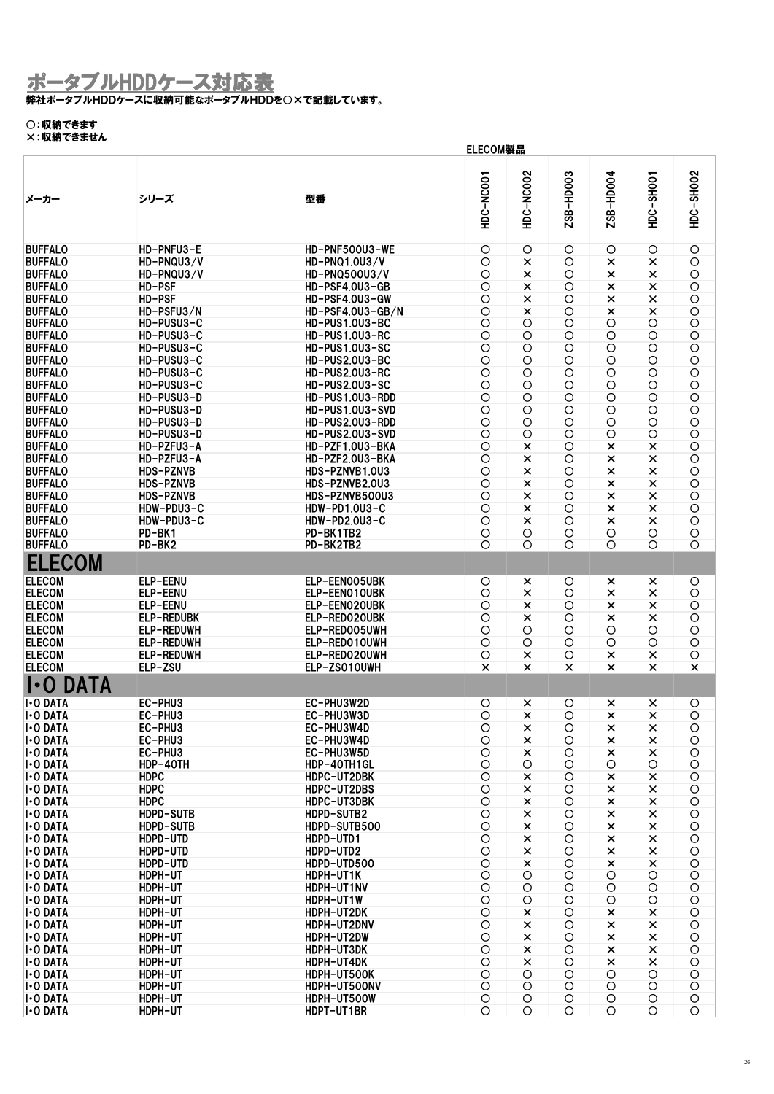#### 弊社ポータブルHDDケースに収納可能なポータブルHDDを○×で記載しています。

### ○:収納できます

|                             |                   |                       | ELECOM製品       |                           |           |                       |                |                |
|-----------------------------|-------------------|-----------------------|----------------|---------------------------|-----------|-----------------------|----------------|----------------|
| メーカー                        | シリーズ              | 型番                    | HDC-NCOO1      | <b>HDC-NC002</b>          | ZSB-HD003 | 2SB-HD004             | HDC-SHOO1      | HDC-SH002      |
| <b>BUFFALO</b>              | HD-PNFU3-E        | HD-PNF500U3-WE        | O              | O                         | O         | O                     | O              | O              |
|                             |                   |                       |                |                           |           |                       |                |                |
| <b>BUFFALO</b>              | HD-PNQU3/V        | HD-PNQ1.0U3/V         | $\circ$        | $\times$                  | $\circ$   | $\times$              | ×              | $\circ$        |
| <b>BUFFALO</b>              | HD-PNQU3/V        | <b>HD-PNQ500U3/V</b>  | O              | $\times$                  | O         | $\times$              | $\pmb{\times}$ | O              |
| <b>BUFFALO</b>              | HD-PSF            | HD-PSF4.0U3-GB        | $\circ$        | $\times$                  | $\circ$   | $\times$              | $\times$       | $\circ$        |
| <b>BUFFALO</b>              | HD-PSF            | HD-PSF4.0U3-GW        | $\bigcirc$     | $\times$                  | O         | $\times$              | $\pmb{\times}$ | $\bigcirc$     |
| <b>BUFFALO</b>              | HD-PSFU3/N        | HD-PSF4.0U3-GB/N      | $\bigcirc$     | $\pmb{\times}$            | $\circ$   | $\pmb{\times}$        | $\pmb{\times}$ | $\bigcirc$     |
| <b>BUFFALO</b>              | HD-PUSU3-C        | HD-PUS1.0U3-BC        | $\circ$        | $\circ$                   | $\circ$   | $\circ$               | $\circ$        | $\circ$        |
| <b>BUFFALO</b>              | HD-PUSU3-C        | HD-PUS1.0U3-RC        | $\overline{O}$ | O                         | $\circ$   | O                     | $\circ$        | $\overline{O}$ |
| <b>BUFFALO</b>              | HD-PUSU3-C        | HD-PUS1.0U3-SC        | $\circ$        | O                         | $\circ$   | $\circ$               | $\bigcirc$     | $\circ$        |
| <b>BUFFALO</b>              | HD-PUSU3-C        | HD-PUS2.0U3-BC        | $\circ$        | O                         | O         | O                     | $\bigcirc$     | $\bigcirc$     |
| <b>BUFFALO</b>              | HD-PUSU3-C        | HD-PUS2.0U3-RC        | $\circ$        | $\bigcirc$                | O         | $\circ$               | $\bigcirc$     | O              |
| <b>BUFFALO</b>              | HD-PUSU3-C        | <b>HD-PUS2.0U3-SC</b> | $\bigcirc$     | O                         | O         | O                     | $\bigcirc$     | O              |
| <b>BUFFALO</b>              | HD-PUSU3-D        | HD-PUS1.0U3-RDD       | $\circ$        | $\circ$                   | O         | O                     | $\circ$        | $\bigcirc$     |
|                             |                   |                       |                |                           |           |                       |                |                |
| <b>BUFFALO</b>              | HD-PUSU3-D        | HD-PUS1.0U3-SVD       | $\circ$        | O                         | O         | O                     | $\bigcirc$     | $\bigcirc$     |
| <b>BUFFALO</b>              | HD-PUSU3-D        | HD-PUS2.0U3-RDD       | $\circ$        | O                         | O         | O                     | $\circ$        | $\overline{O}$ |
| <b>BUFFALO</b>              | HD-PUSU3-D        | HD-PUS2.0U3-SVD       | $\overline{O}$ | O                         | $\circ$   | $\overline{O}$        | $\circ$        | $\circ$        |
| <b>BUFFALO</b>              | HD-PZFU3-A        | HD-PZF1.0U3-BKA       | $\circ$        | ×                         | O         | ×                     | ×              | $\bigcirc$     |
| <b>BUFFALO</b>              | HD-PZFU3-A        | HD-PZF2.0U3-BKA       | $\circ$        | $\pmb{\times}$            | O         | $\times$              | $\pmb{\times}$ | $\bigcirc$     |
| <b>BUFFALO</b>              | <b>HDS-PZNVB</b>  | HDS-PZNVB1.0U3        | $\circ$        | $\times$                  | $\circ$   | ×                     | $\pmb{\times}$ | $\circ$        |
| <b>BUFFALO</b>              | <b>HDS-PZNVB</b>  | HDS-PZNVB2.0U3        | $\circ$        | $\times$                  | O         | ×                     | $\pmb{\times}$ | $\bigcirc$     |
| <b>BUFFALO</b>              | <b>HDS-PZNVB</b>  | HDS-PZNVB500U3        | $\circ$        | $\times$                  | $\circ$   | $\times$              | $\times$       | $\circ$        |
| <b>BUFFALO</b>              | HDW-PDU3-C        | HDW-PD1.0U3-C         | $\circ$        | $\times$                  | $\circ$   | ×                     | ×              | $\circ$        |
| <b>BUFFALO</b>              | HDW-PDU3-C        | HDW-PD2.0U3-C         | $\circ$        | $\times$                  | O         | ×                     | ×              | $\circ$        |
| <b>BUFFALO</b>              | PD-BK1            | PD-BK1TB2             | $\bigcirc$     | O                         | O         | O                     | O              | $\circ$        |
|                             |                   |                       |                |                           |           |                       |                |                |
| <b>BUFFALO</b>              | PD-BK2            | PD-BK2TB2             | $\circ$        | O                         | O         | O                     | O              | $\circ$        |
| <b>ELECOM</b>               |                   |                       |                |                           |           |                       |                |                |
| <b>ELECOM</b>               | ELP-EENU          | ELP-EEN005UBK         | O              | ×                         | O         | ×                     | ×              | O              |
| <b>ELECOM</b>               | ELP-EENU          | ELP-EEN010UBK         |                |                           | O         | $\times$              |                | $\bigcirc$     |
|                             |                   |                       | O              | $\times$                  |           |                       | ×              |                |
| <b>ELECOM</b>               | ELP-EENU          | ELP-EEN020UBK         | $\circ$        | $\times$                  | $\circ$   | $\times$              | ×              | $\circ$        |
| <b>ELECOM</b>               | <b>ELP-REDUBK</b> | ELP-REDO20UBK         | $\circ$        | $\times$                  | O         | ×                     | $\pmb{\times}$ | $\bigcirc$     |
| <b>ELECOM</b>               | ELP-REDUWH        | ELP-RED005UWH         | $\circ$        | O                         | O         | $\circ$               | $\circ$        | $\bigcirc$     |
| <b>ELECOM</b>               | ELP-REDUWH        | ELP-RED010UWH         | $\circ$        | O                         | O         | O                     | $\bigcirc$     | $\bigcirc$     |
| <b>ELECOM</b>               | <b>ELP-REDUWH</b> | ELP-REDO20UWH         | $\circ$        | ×                         | O         | ×                     | ×              | $\bigcirc$     |
| <b>ELECOM</b>               | ELP-ZSU           | ELP-ZS010UWH          | $\times$       | $\times$                  | ×         | ×                     | $\times$       | ×              |
| <b>DATA</b><br>D<br>$\cdot$ |                   |                       |                |                           |           |                       |                |                |
| <b>I-O DATA</b>             |                   |                       |                |                           |           |                       |                |                |
|                             | EC-PHU3           | EC-PHU3W2D            | O              | ×                         | O         | ×                     | ×              | O              |
| <b>I</b> -O DATA            | EC-PHU3           | EC-PHU3W3D            | $\circ$        | $\boldsymbol{\mathsf{x}}$ | $\circ$   | $\boldsymbol{\times}$ | $\times$       | O              |
| <b>I</b> -O DATA            | EC-PHU3           | EC-PHU3W4D            | $\bigcirc$     | $\pmb{\times}$            | O         | ×                     | ×              | O              |
| <b>I</b> -O DATA            | EC-PHU3           | EC-PHU3W4D            | O              | $\times$                  | O         | $\times$              | $\pmb{\times}$ | $\circ$        |
| <b>I-O DATA</b>             | EC-PHU3           | EC-PHU3W5D            | O              | $\times$                  | O         | ×                     | $\pmb{\times}$ | $\bigcirc$     |
| <b>I</b> -O DATA            | HDP-40TH          | HDP-40TH1GL           | O              | O                         | O         | O                     | O              | $\bigcirc$     |
| <b>I</b> -O DATA            | <b>HDPC</b>       | HDPC-UT2DBK           | $\circ$        | $\times$                  | O         | ×                     | $\pmb{\times}$ | $\bigcirc$     |
| <b>I</b> -O DATA            | <b>HDPC</b>       | HDPC-UT2DBS           | $\circ$        | $\pmb{\times}$            | O         | ×                     | ×              | $\bigcirc$     |
| <b>I</b> -O DATA            | <b>HDPC</b>       | HDPC-UT3DBK           | $\bigcirc$     | $\times$                  | O         | $\pmb{\times}$        | $\pmb{\times}$ | $\bigcirc$     |
| <b>I</b> -O DATA            | HDPD-SUTB         | HDPD-SUTB2            | $\bigcirc$     | $\times$                  | O         | $\times$              | $\pmb{\times}$ | $\bigcirc$     |
| <b>I</b> -O DATA            | <b>HDPD-SUTB</b>  | HDPD-SUTB500          | $\bigcirc$     | $\pmb{\times}$            | O         | $\pmb{\times}$        | $\times$       | $\bigcirc$     |
| <b>I</b> -O DATA            | HDPD-UTD          | HDPD-UTD1             | $\bigcirc$     | $\pmb{\times}$            | O         | $\pmb{\times}$        | $\pmb{\times}$ | $\bigcirc$     |
| I O DATA                    | HDPD-UTD          | HDPD-UTD2             | $\bigcirc$     | $\times$                  | O         | $\pmb{\times}$        | $\times$       | $\bigcirc$     |
|                             |                   | HDPD-UTD500           |                | $\times$                  |           | $\times$              | $\pmb{\times}$ |                |
| I O DATA                    | HDPD-UTD          |                       | $\circ$        |                           | O         |                       |                | $\bigcirc$     |
| <b>I</b> -O DATA            | HDPH-UT           | HDPH-UT1K             | O              | O                         | O         | O                     | $\bigcirc$     | O              |
| <b>I</b> -O DATA            | HDPH-UT           | HDPH-UT1NV            | O              | O                         | O         | O                     | O              | $\bigcirc$     |
| <b>I</b> -O DATA            | HDPH-UT           | HDPH-UT1W             | O              | $\circ$                   | O         | O                     | $\bigcirc$     | O              |
| <b>I</b> -O DATA            | HDPH-UT           | HDPH-UT2DK            | $\bigcirc$     | $\pmb{\times}$            | O         | $\pmb{\times}$        | $\pmb{\times}$ | $\bigcirc$     |
| <b>I-O DATA</b>             | HDPH-UT           | HDPH-UT2DNV           | $\bigcirc$     | $\times$                  | O         | $\pmb{\times}$        | $\pmb{\times}$ | $\bigcirc$     |
| <b>I∙O DATA</b>             | HDPH-UT           | HDPH-UT2DW            | $\circ$        | $\pmb{\times}$            | O         | ×                     | ×              | $\bigcirc$     |
| <b>I</b> -O DATA            | HDPH-UT           | HDPH-UT3DK            | $\circ$        | $\times$                  | O         | $\pmb{\times}$        | $\pmb{\times}$ | $\circ$        |
| <b>I</b> -O DATA            | HDPH-UT           | HDPH-UT4DK            | $\bigcirc$     | $\times$                  | O         | $\pmb{\times}$        | $\pmb{\times}$ | $\bigcirc$     |
| <b>I</b> -O DATA            | HDPH-UT           | HDPH-UT500K           | $\bigcirc$     | O                         | $\circ$   | O                     | O              | $\bigcirc$     |
| <b>I</b> -O DATA            | HDPH-UT           | HDPH-UT500NV          | $\bigcirc$     | O                         | O         | O                     | $\bigcirc$     | $\bigcirc$     |
| <b>I-O DATA</b>             | HDPH-UT           | HDPH-UT500W           | $\bigcirc$     | O                         | O         | O                     | $\bigcirc$     | $\bigcirc$     |
|                             |                   |                       |                |                           |           |                       |                |                |
| <b>I-O DATA</b>             | HDPH-UT           | HDPT-UT1BR            | O              | O                         | O         | O                     | $\circ$        | $\circ$        |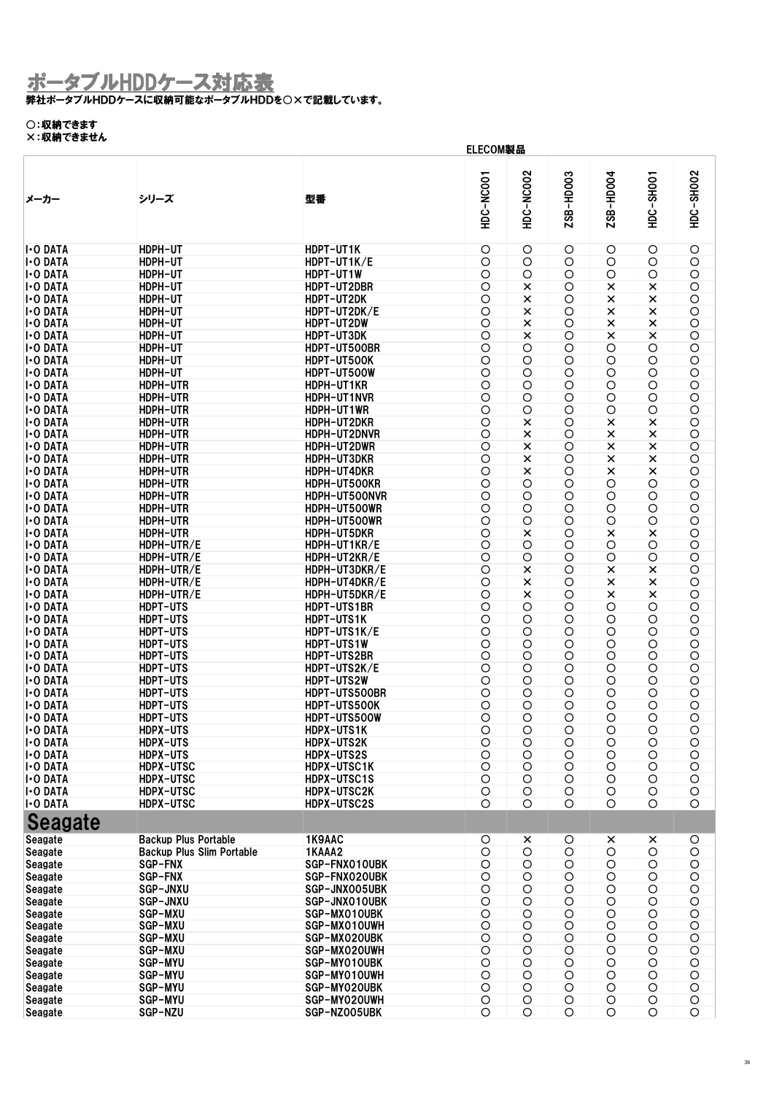#### 弊社ポータブルHDDケースに収納可能なポータブルHDDを○×で記載しています。

### ○:収納できます

|                  |                                  | ELECOM製品      |            |                  |            |                |            |                |
|------------------|----------------------------------|---------------|------------|------------------|------------|----------------|------------|----------------|
| メーカー             | シリーズ                             | 型番            | HDC-NC001  | <b>HDC-NC002</b> | ZSB-HD003  | ZSB-HD004      | HDC-SHOO1  | HDC-SH002      |
| <b>I</b> -O DATA | HDPH-UT                          | HDPT-UT1K     | O          | O                | O          | O              | O          | O              |
| <b>I</b> -O DATA | HDPH-UT                          | HDPT-UT1K/E   | O          | $\circ$          | $\circ$    | O              | O          | $\bigcirc$     |
| <b>I</b> -O DATA | HDPH-UT                          | HDPT-UT1W     | O          | O                | O          | O              | O          | $\bigcirc$     |
| <b>I</b> -O DATA | HDPH-UT                          | HDPT-UT2DBR   | O          | ×                | $\circ$    | ×              | ×          | $\bigcirc$     |
| <b>I</b> -O DATA | HDPH-UT                          | HDPT-UT2DK    | $\bigcirc$ | $\pmb{\times}$   | O          | $\times$       | $\times$   | $\bigcirc$     |
| <b>I</b> -O DATA | HDPH-UT                          | HDPT-UT2DK/E  | $\bigcirc$ | $\pmb{\times}$   | O          | $\pmb{\times}$ | $\times$   | $\bigcirc$     |
| <b>I</b> -O DATA | HDPH-UT                          | HDPT-UT2DW    | $\bigcirc$ | $\pmb{\times}$   | $\circ$    | $\times$       | $\times$   | $\bigcirc$     |
| <b>I</b> -O DATA | HDPH-UT                          | HDPT-UT3DK    | $\circ$    | $\times$         | $\circ$    | $\times$       | ×          | $\circ$        |
| <b>I</b> -O DATA | HDPH-UT                          | HDPT-UT500BR  | $\circ$    | $\circ$          | $\circ$    | $\circ$        | $\circ$    | $\bigcirc$     |
| <b>I</b> -O DATA | HDPH-UT                          | HDPT-UT500K   | $\bigcirc$ | O                | O          | O              | $\bigcirc$ | $\bigcirc$     |
| <b>I</b> -O DATA | HDPH-UT                          | HDPT-UT500W   | $\circ$    | O                | $\circ$    | O              | $\bigcirc$ | $\bigcirc$     |
| <b>I</b> -O DATA | HDPH-UTR                         | HDPH-UT1KR    | $\bigcirc$ | O                | $\circ$    | O              | O          | O              |
| <b>I</b> -O DATA | HDPH-UTR                         | HDPH-UT1NVR   | O          | $\circ$          | O          | O              | O          | $\bigcirc$     |
| <b>I</b> -O DATA | HDPH-UTR                         | HDPH-UT1WR    | $\bigcirc$ | O                | $\circ$    | O              | $\bigcirc$ | $\bigcirc$     |
| <b>I</b> -O DATA | HDPH-UTR                         | HDPH-UT2DKR   | $\circ$    | $\pmb{\times}$   | $\circ$    | $\times$       | $\times$   | $\circ$        |
| <b>I</b> -O DATA | HDPH-UTR                         | HDPH-UT2DNVR  | $\circ$    | $\pmb{\times}$   | $\circ$    | $\times$       | $\times$   | $\overline{O}$ |
| <b>I</b> -O DATA | HDPH-UTR                         | HDPH-UT2DWR   | O          | $\times$         | $\circ$    | $\times$       | $\times$   | $\bigcirc$     |
| <b>I</b> -O DATA | HDPH-UTR                         | HDPH-UT3DKR   | $\bigcirc$ | $\times$         | $\circ$    | $\times$       | $\times$   | $\bigcirc$     |
| <b>I</b> -O DATA | HDPH-UTR                         | HDPH-UT4DKR   | O          | $\pmb{\times}$   | $\circ$    | $\times$       | $\times$   | $\bigcirc$     |
| <b>I</b> -O DATA | HDPH-UTR                         | HDPH-UT500KR  | O          | O                | O          | O              | O          | $\bigcirc$     |
| <b>I</b> -O DATA | HDPH-UTR                         | HDPH-UT500NVR | $\bigcirc$ | $\bigcirc$       | $\circ$    | O              | $\circ$    | $\bigcirc$     |
| <b>I</b> -O DATA | HDPH-UTR                         | HDPH-UT500WR  | $\circ$    | O                | $\circ$    | O              | O          | $\bigcirc$     |
| <b>I</b> -O DATA | HDPH-UTR                         | HDPH-UT500WR  | $\circ$    | $\bigcirc$       | $\circ$    | $\circ$        | $\circ$    | $\bigcirc$     |
| <b>I</b> -O DATA | HDPH-UTR                         | HDPH-UT5DKR   | $\bigcirc$ | $\pmb{\times}$   | O          | $\times$       | $\times$   | $\bigcirc$     |
| <b>I</b> -O DATA | HDPH-UTR/E                       | HDPH-UT1KR/E  | $\bigcirc$ | $\bigcirc$       | O          | O              | O          | $\bigcirc$     |
| <b>I</b> -O DATA | HDPH-UTR/E                       | HDPH-UT2KR/E  | $\circ$    | O                | $\circ$    | $\bigcirc$     | $\bigcirc$ | $\bigcirc$     |
| <b>I</b> -O DATA | HDPH-UTR/E                       | HDPH-UT3DKR/E | $\bigcirc$ | $\pmb{\times}$   | O          | $\times$       | $\times$   | $\bigcirc$     |
| <b>I</b> -O DATA | HDPH-UTR/E                       | HDPH-UT4DKR/E | $\circ$    | $\pmb{\times}$   | $\circ$    | $\times$       | $\times$   | $\bigcirc$     |
| <b>I</b> -O DATA | HDPH-UTR/E                       | HDPH-UT5DKR/E | $\circ$    | $\pmb{\times}$   | $\circ$    | $\times$       | $\times$   | $\bigcirc$     |
| <b>I</b> -O DATA | HDPT-UTS                         | HDPT-UTS1BR   | $\bigcirc$ | $\bigcirc$       | O          | $\circ$        | $\bigcirc$ | $\bigcirc$     |
| <b>I</b> -O DATA | HDPT-UTS                         | HDPT-UTS1K    | $\bigcirc$ | O                | O          | O              | O          | O              |
| <b>I</b> -O DATA | HDPT-UTS                         | HDPT-UTS1K/E  | O          | O                | O          | O              | O          | $\bigcirc$     |
| <b>I</b> -O DATA | <b>HDPT-UTS</b>                  | HDPT-UTS1W    | $\bigcirc$ | O                | O          | O              | $\bigcirc$ | $\bigcirc$     |
| <b>I</b> -O DATA | <b>HDPT-UTS</b>                  | HDPT-UTS2BR   | O          | O                | O          | O              | O          | $\bigcirc$     |
| <b>I</b> -O DATA | HDPT-UTS                         | HDPT-UTS2K/E  | $\bigcirc$ | $\bigcirc$       | $\circ$    | $\circ$        | $\bigcirc$ | $\bigcirc$     |
| <b>I</b> -O DATA | HDPT-UTS                         | HDPT-UTS2W    | $\bigcirc$ | O                | O          | O              | O          | O              |
| <b>I</b> -O DATA | HDPT-UTS                         | HDPT-UTS500BR | $\circ$    | O                | O          | O              | O          | $\bigcirc$     |
| <b>I-O DATA</b>  | HDPT-UTS                         | HDPT-UTS500K  | $\bigcirc$ | O                | O          | O              | O          | $\bigcirc$     |
| <b>I</b> -O DATA | HDPT-UTS                         | HDPT-UTS500W  | $\circ$    | O                | O          | O              | O          | $\circ$        |
| <b>I</b> -O DATA | HDPX-UTS                         | HDPX-UTS1K    | $\circ$    | $\circ$          | $\circ$    | $\circ$        | $\circ$    | $\circ$        |
| <b>I</b> -O DATA | HDPX-UTS                         | HDPX-UTS2K    | $\bigcirc$ | $\circ$          | $\circ$    | O              | $\circ$    | $\bigcirc$     |
| <b>I</b> -O DATA | HDPX-UTS                         | HDPX-UTS2S    | $\bigcirc$ | $\bigcirc$       | O          | $\bigcirc$     | $\bigcirc$ | $\bigcirc$     |
| <b>I</b> -O DATA | <b>HDPX-UTSC</b>                 | HDPX-UTSC1K   | $\bigcirc$ | O                | O          | O              | $\bigcirc$ | $\bigcirc$     |
| <b>I</b> -O DATA | <b>HDPX-UTSC</b>                 | HDPX-UTSC1S   | $\bigcirc$ | O                | O          | O              | $\bigcirc$ | $\bigcirc$     |
| <b>I</b> -O DATA | <b>HDPX-UTSC</b>                 | HDPX-UTSC2K   | $\bigcirc$ | O                | $\bigcirc$ | O              | $\bigcirc$ | $\bigcirc$     |
| <b>I</b> -O DATA | HDPX-UTSC                        | HDPX-UTSC2S   | O          | $\circ$          | $\circ$    | $\circ$        | $\circ$    | $\circ$        |
| <b>Seagate</b>   |                                  |               |            |                  |            |                |            |                |
| Seagate          | <b>Backup Plus Portable</b>      | 1K9AAC        | O          | $\pmb{\times}$   | O          | ×              | ×          | $\circ$        |
| Seagate          | <b>Backup Plus Slim Portable</b> | 1KAAA2        | $\bigcirc$ | $\bigcirc$       | $\bigcirc$ | $\bigcirc$     | $\bigcirc$ | $\bigcirc$     |
| Seagate          | <b>SGP-FNX</b>                   | SGP-FNX010UBK | $\circ$    | $\bigcirc$       | $\bigcirc$ | $\bigcirc$     | $\circ$    | $\circ$        |
| Seagate          | <b>SGP-FNX</b>                   | SGP-FNX020UBK | $\bigcirc$ | O                | O          | O              | $\bigcirc$ | $\bigcirc$     |
| Seagate          | SGP-JNXU                         | SGP-JNX005UBK | $\bigcirc$ | $\bigcirc$       | $\bigcirc$ | $\bigcirc$     | $\bigcirc$ | $\bigcirc$     |
| Seagate          | SGP-JNXU                         | SGP-JNX010UBK | $\bigcirc$ | $\bigcirc$       | $\bigcirc$ | $\bigcirc$     | $\circ$    | $\bigcirc$     |
| Seagate          | SGP-MXU                          | SGP-MX010UBK  | $\bigcirc$ | $\bigcirc$       | O          | $\bigcirc$     | $\circ$    | $\bigcirc$     |
| Seagate          | SGP-MXU                          | SGP-MX010UWH  | $\bigcirc$ | $\bigcirc$       | $\bigcirc$ | $\bigcirc$     | $\circ$    | $\bigcirc$     |
| Seagate          | SGP-MXU                          | SGP-MX020UBK  | $\bigcirc$ | O                | O          | O              | $\bigcirc$ | $\circ$        |
| Seagate          | <b>SGP-MXU</b>                   | SGP-MX020UWH  | $\bigcirc$ | $\bigcirc$       | $\bigcirc$ | $\bigcirc$     | $\bigcirc$ | $\bigcirc$     |
| Seagate          | SGP-MYU                          | SGP-MY010UBK  | $\bigcirc$ | O                | O          | O              | $\bigcirc$ | $\bigcirc$     |
| Seagate          | SGP-MYU                          | SGP-MY010UWH  | $\bigcirc$ | O                | $\bigcirc$ | O              | $\bigcirc$ | $\bigcirc$     |
| Seagate          | <b>SGP-MYU</b>                   | SGP-MY020UBK  | $\bigcirc$ | $\bigcirc$       | O          | $\bigcirc$     | $\bigcirc$ | $\bigcirc$     |
| Seagate          | <b>SGP-MYU</b>                   | SGP-MY020UWH  | $\bigcirc$ | O                | O          | O              | $\circ$    | $\circ$        |
| Seagate          | SGP-NZU                          | SGP-NZ005UBK  | O          | O                | $\circ$    | $\circ$        | O          | O              |
|                  |                                  |               |            |                  |            |                |            |                |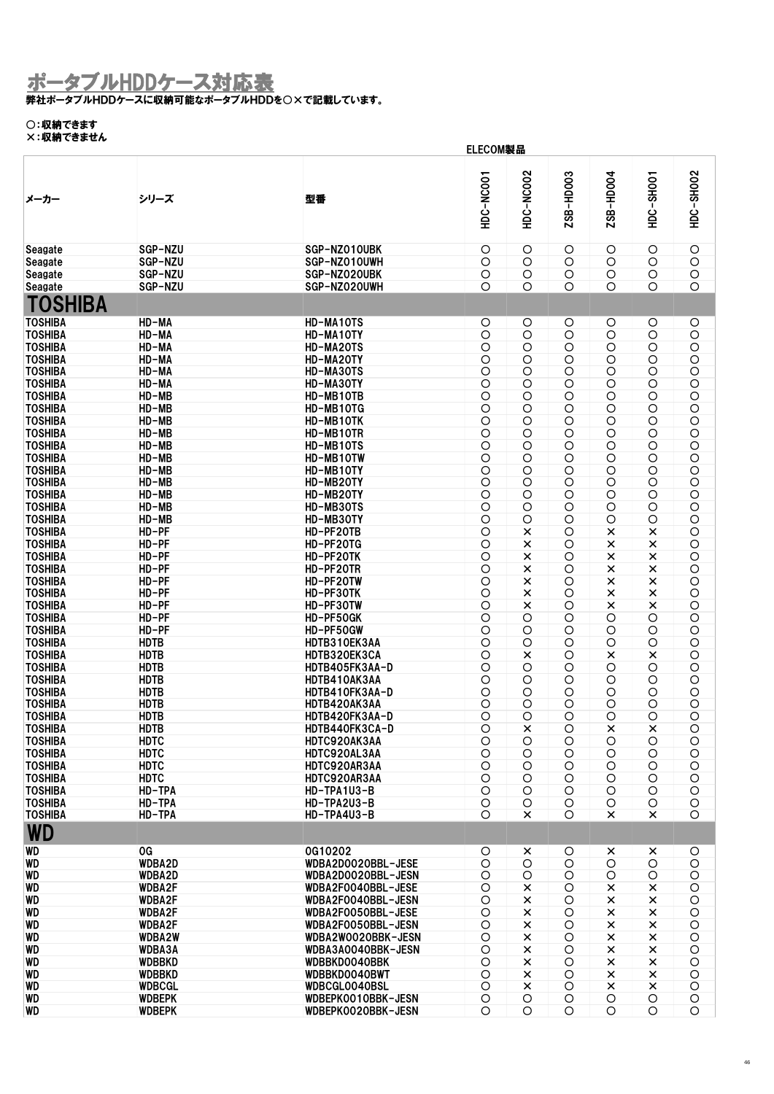弊社ポータブルHDDケースに収納可能なポータブルHDDを○×で記載しています。

### ○:収納できます

| ハ・ベリ くこのにル                       |                            | ELECOM製品                       |                          |                              |                       |                 |                          |                          |  |  |
|----------------------------------|----------------------------|--------------------------------|--------------------------|------------------------------|-----------------------|-----------------|--------------------------|--------------------------|--|--|
| メーカー                             | シリーズ                       | 型番                             | HDC-NC001                | <b>HDC-NC002</b>             | ZSB-HD003             | ZSB-HD004       | HDC-SHOO1                | HDC-SH002                |  |  |
| Seagate                          | SGP-NZU                    | SGP-NZ010UBK                   | $\circ$                  | O                            | O                     | O               | O                        | $\bigcirc$               |  |  |
| Seagate                          | SGP-NZU                    | SGP-NZ010UWH                   | $\circ$                  | $\circ$                      | $\circ$               | O               | $\circ$                  | $\bigcirc$               |  |  |
| Seagate                          | SGP-NZU                    | SGP-NZ020UBK                   | $\bigcirc$               | O                            | O                     | O               | O                        | $\circ$                  |  |  |
| Seagate                          | SGP-NZU                    | SGP-NZ020UWH                   | O                        | O                            | O                     | Ο               | O                        | O                        |  |  |
| TOSHIBA                          |                            |                                |                          |                              |                       |                 |                          |                          |  |  |
| <b>TOSHIBA</b>                   | HD-MA                      | HD-MA10TS                      | O                        | O                            | O                     | O               | O                        | O                        |  |  |
| <b>TOSHIBA</b>                   | HD-MA                      | HD-MA10TY                      | O                        | O                            | O                     | O               | O                        | $\bigcirc$               |  |  |
| <b>TOSHIBA</b>                   | HD-MA                      | HD-MA20TS                      | $\circ$                  | $\circ$                      | $\circ$               | O               | O                        | $\bigcirc$               |  |  |
| <b>TOSHIBA</b>                   | HD-MA                      | HD-MA20TY                      | $\circ$                  | O                            | O                     | O               | $\bigcirc$               | $\bigcirc$               |  |  |
| <b>TOSHIBA</b>                   | HD-MA                      | HD-MA30TS                      | $\circ$                  | O                            | O                     | O               | $\bigcirc$               | $\bigcirc$               |  |  |
| <b>TOSHIBA</b>                   | HD-MA                      | HD-MA30TY                      | $\bigcirc$               | O                            | O                     | O               | O                        | $\bigcirc$               |  |  |
| <b>TOSHIBA</b>                   | HD-MB                      | HD-MB10TB                      | $\circ$                  | O                            | $\circ$               | O               | $\bigcirc$               | $\circ$                  |  |  |
| <b>TOSHIBA</b>                   | HD-MB                      | HD-MB10TG                      | $\bigcirc$               | O                            | O                     | O               | $\bigcirc$               | O                        |  |  |
| <b>TOSHIBA</b>                   | HD-MB                      | HD-MB10TK                      | $\circ$                  | O                            | O                     | O               | $\bigcirc$               | $\bigcirc$               |  |  |
| <b>TOSHIBA</b>                   | $HD-MB$                    | HD-MB10TR                      | $\circ$                  | $\circ$                      | $\bigcirc$            | $\circ$         | $\bigcirc$               | $\circ$                  |  |  |
| <b>TOSHIBA</b>                   | HD-MB                      | HD-MB10TS                      | $\bigcirc$               | O                            | O                     | O               | $\bigcirc$               | O                        |  |  |
| <b>TOSHIBA</b>                   | $HD-MB$                    | HD-MB10TW                      | $\bigcirc$               | O                            | O                     | O               | $\circ$                  | $\circ$                  |  |  |
| <b>TOSHIBA</b>                   | $HD-MB$                    | HD-MB10TY                      | $\bigcirc$               | O                            | O                     | O               | $\bigcirc$               | $\bigcirc$               |  |  |
| <b>TOSHIBA</b><br><b>TOSHIBA</b> | HD-MB<br>$HD-MB$           | HD-MB20TY<br>HD-MB20TY         | $\circ$<br>$\bigcirc$    | $\bigcirc$<br>O              | $\bigcirc$<br>O       | $\circ$<br>O    | $\bigcirc$<br>$\bigcirc$ | $\circ$<br>$\bigcirc$    |  |  |
| <b>TOSHIBA</b>                   | HD-MB                      | HD-MB30TS                      | $\circ$                  | O                            | O                     | O               | O                        | $\bigcirc$               |  |  |
| <b>TOSHIBA</b>                   | HD-MB                      | HD-MB30TY                      | $\circ$                  | O                            | $\bigcirc$            | $\circ$         | $\bigcirc$               | $\circ$                  |  |  |
| <b>TOSHIBA</b>                   | HD-PF                      | HD-PF20TB                      | $\bigcirc$               | ×                            | O                     | ×               | ×                        | $\bigcirc$               |  |  |
| <b>TOSHIBA</b>                   | HD-PF                      | HD-PF20TG                      | $\circ$                  | ×                            | O                     | $\pmb{\times}$  | $\pmb{\times}$           | $\bigcirc$               |  |  |
| <b>TOSHIBA</b>                   | HD-PF                      | HD-PF20TK                      | $\bigcirc$               | ×                            | O                     | $\pmb{\times}$  | $\pmb{\times}$           | $\bigcirc$               |  |  |
| <b>TOSHIBA</b>                   | $HD-PF$                    | HD-PF20TR                      | $\circ$                  | ×                            | O                     | $\pmb{\times}$  | ×                        | $\bigcirc$               |  |  |
| <b>TOSHIBA</b>                   | HD-PF                      | HD-PF20TW                      | $\circ$                  | ×                            | O                     | $\pmb{\times}$  | $\pmb{\times}$           | $\bigcirc$               |  |  |
| <b>TOSHIBA</b>                   | HD-PF                      | HD-PF30TK                      | $\circ$                  | $\times$                     | O                     | $\pmb{\times}$  | $\pmb{\times}$           | $\bigcirc$               |  |  |
| <b>TOSHIBA</b>                   | $HD-PF$                    | HD-PF30TW                      | $\circ$                  | $\times$                     | O                     | $\pmb{\times}$  | $\pmb{\times}$           | $\bigcirc$               |  |  |
| <b>TOSHIBA</b>                   | HD-PF                      | HD-PF50GK                      | $\circ$                  | O                            | O                     | O               | O                        | $\bigcirc$               |  |  |
| <b>TOSHIBA</b>                   | HD-PF                      | HD-PF50GW                      | $\circ$                  | O                            | O                     | O               | O                        | $\bigcirc$               |  |  |
| <b>TOSHIBA</b><br><b>TOSHIBA</b> | <b>HDTB</b><br><b>HDTB</b> | HDTB310EK3AA                   | $\bigcirc$               | O                            | O                     | O               | $\bigcirc$               | $\bigcirc$<br>$\bigcirc$ |  |  |
| <b>TOSHIBA</b>                   | <b>HDTB</b>                | HDTB320EK3CA<br>HDTB405FK3AA-D | $\circ$<br>$\circ$       | ×<br>O                       | O<br>O                | ×<br>O          | $\times$<br>$\bigcirc$   | $\bigcirc$               |  |  |
| <b>TOSHIBA</b>                   | <b>HDTB</b>                | HDTB410AK3AA                   | $\bigcirc$               | O                            | O                     | O               | O                        | $\circ$                  |  |  |
| <b>TOSHIBA</b>                   | <b>HDTB</b>                | HDTB410FK3AA-D                 | $\circ$                  | O                            | O                     | O               | $\bigcirc$               | O                        |  |  |
| <b>TOSHIBA</b>                   | <b>HDTB</b>                | HDTB420AK3AA                   | $\bigcirc$               | O                            | O                     | O               | O                        | $\bigcirc$               |  |  |
| <b>TOSHIBA</b>                   | <b>HDTB</b>                | HDTB420FK3AA-D                 | O                        | O                            | O                     | Ο               | O                        | O                        |  |  |
| <b>TOSHIBA</b>                   | <b>HDTB</b>                | HDTB440FK3CA-D                 | O                        | $\pmb{\times}$               | O                     | ×               | ×                        | $\circ$                  |  |  |
| <b>TOSHIBA</b>                   | <b>HDTC</b>                | HDTC920AK3AA                   | $\bigcirc$               | $\circ$                      | $\circ$               | O               | $\bigcirc$               | $\circ$                  |  |  |
| <b>TOSHIBA</b>                   | <b>HDTC</b>                | HDTC920AL3AA                   | $\bigcirc$               | O                            | $\circ$               | O               | $\bigcirc$               | $\bigcirc$               |  |  |
| <b>TOSHIBA</b>                   | <b>HDTC</b>                | HDTC920AR3AA                   | O                        | O                            | $\circ$               | O               | $\bigcirc$               | $\bigcirc$               |  |  |
| <b>TOSHIBA</b>                   | <b>HDTC</b>                | HDTC920AR3AA                   | $\bigcirc$               | $\circ$                      | $\circ$               | $\circ$         | $\bigcirc$               | $\bigcirc$               |  |  |
| <b>TOSHIBA</b><br><b>TOSHIBA</b> | HD-TPA<br>HD-TPA           | HD-TPA1U3-B<br>HD-TPA2U3-B     | $\bigcirc$<br>$\bigcirc$ | $\circ$<br>O                 | $\bigcirc$<br>$\circ$ | O<br>O          | $\bigcirc$<br>O          | $\bigcirc$<br>$\bigcirc$ |  |  |
| <b>TOSHIBA</b>                   | HD-TPA                     | HD-TPA4U3-B                    | $\circ$                  | ×                            | $\circ$               | ×               | ×                        | $\circ$                  |  |  |
| <b>WD</b>                        |                            |                                |                          |                              |                       |                 |                          |                          |  |  |
| <b>WD</b>                        | 0G                         | 0G10202                        |                          |                              |                       |                 |                          |                          |  |  |
| WD                               | WDBA2D                     | WDBA2D0020BBL-JESE             | O<br>$\bigcirc$          | $\pmb{\times}$<br>$\bigcirc$ | O<br>$\bigcirc$       | ×<br>$\bigcirc$ | ×<br>$\bigcirc$          | O<br>$\bigcirc$          |  |  |
| <b>WD</b>                        | WDBA2D                     | WDBA2D0020BBL-JESN             | O                        | $\circ$                      | $\circ$               | $\circ$         | $\bigcirc$               | $\bigcirc$               |  |  |
| WD                               | <b>WDBA2F</b>              | WDBA2F0040BBL-JESE             | $\bigcirc$               | ×                            | $\circ$               | ×               | $\pmb{\times}$           | $\bigcirc$               |  |  |
| <b>WD</b>                        | <b>WDBA2F</b>              | WDBA2F0040BBL-JESN             | $\bigcirc$               | ×                            | $\bigcirc$            | $\times$        | $\times$                 | $\bigcirc$               |  |  |
| <b>WD</b>                        | <b>WDBA2F</b>              | WDBA2F0050BBL-JESE             | $\circ$                  | $\pmb{\times}$               | $\circ$               | ×               | $\pmb{\times}$           | $\bigcirc$               |  |  |
| <b>WD</b>                        | <b>WDBA2F</b>              | WDBA2F0050BBL-JESN             | $\bigcirc$               | $\times$                     | $\circ$               | $\pmb{\times}$  | $\pmb{\times}$           | $\bigcirc$               |  |  |
| WD                               | WDBA2W                     | WDBA2W0020BBK-JESN             | $\bigcirc$               | ×                            | O                     | $\times$        | $\times$                 | $\bigcirc$               |  |  |
| WD                               | <b>WDBA3A</b>              | WDBA3A0040BBK-JESN             | $\bigcirc$               | ×                            | $\circ$               | $\times$        | $\pmb{\times}$           | $\bigcirc$               |  |  |
| <b>WD</b>                        | <b>WDBBKD</b>              | WDBBKD0040BBK                  | $\bigcirc$               | $\times$                     | $\bigcirc$            | $\times$        | $\pmb{\times}$           | $\bigcirc$               |  |  |
| WD                               | <b>WDBBKD</b>              | WDBBKD0040BWT                  | $\circ$                  | ×                            | $\circ$               | $\times$        | $\pmb{\times}$           | $\circ$                  |  |  |
| WD                               | <b>WDBCGL</b>              | WDBCGL0040BSL                  | $\circ$                  | $\pmb{\times}$               | $\circ$               | $\times$        | $\pmb{\times}$           | $\bigcirc$               |  |  |
| WD                               | <b>WDBEPK</b>              | WDBEPK0010BBK-JESN             | $\bigcirc$               | O                            | O                     | O               | $\bigcirc$               | $\bigcirc$               |  |  |
| WD                               | <b>WDBEPK</b>              | WDBEPK0020BBK-JESN             | O                        | O                            | O                     | O               | O                        | $\circ$                  |  |  |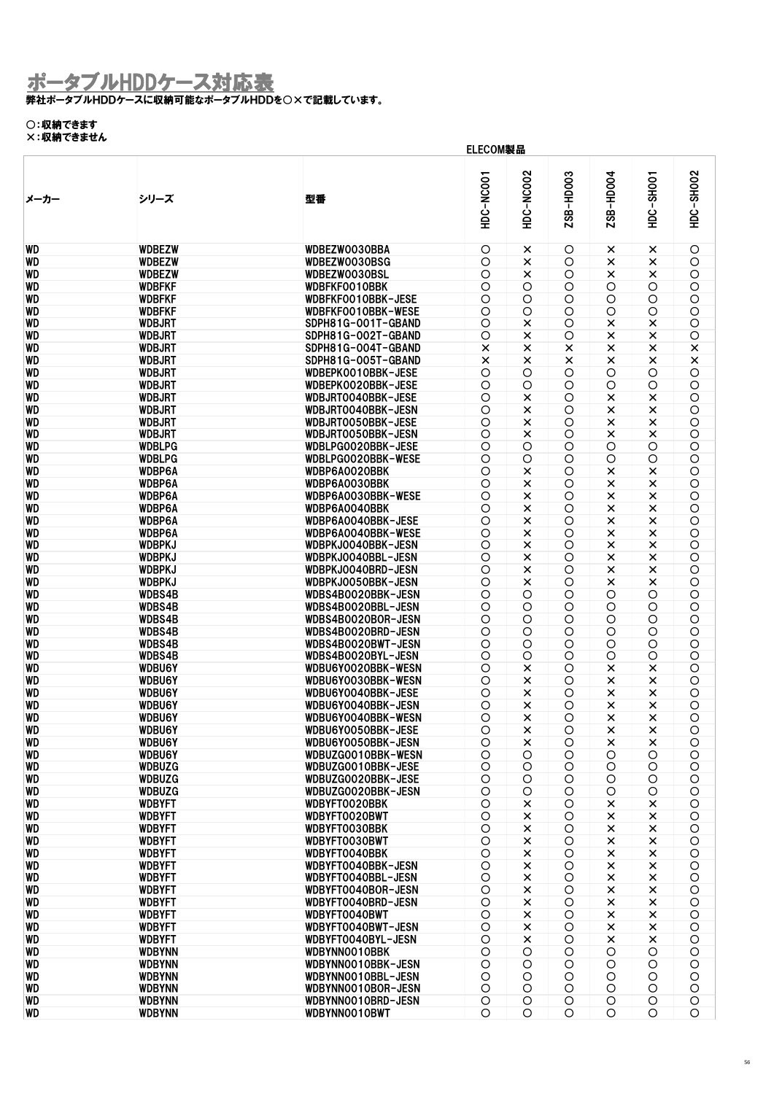#### 弊社ポータブルHDDケースに収納可能なポータブルHDDを○×で記載しています。

#### ○:収納できます ×:収納できません

|                        | ELECOM製品                       |                                            |                    |                            |            |                      |                            |                       |  |  |
|------------------------|--------------------------------|--------------------------------------------|--------------------|----------------------------|------------|----------------------|----------------------------|-----------------------|--|--|
| メーカー                   | シリーズ                           | 型番                                         | HDC-NC001          | HDC-NC002                  | ZSB-HD003  | ZSB-HD004            | <b>HDC-SHOO1</b>           | HDC-SH002             |  |  |
| <b>WD</b>              | <b>WDBEZW</b>                  | WDBEZW0030BBA                              | O                  | ×                          | O          | ×                    | ×                          | $\bigcirc$            |  |  |
| <b>WD</b>              | <b>WDBEZW</b>                  | WDBEZW0030BSG                              | $\circ$            | $\pmb{\times}$             | $\circ$    | $\pmb{\times}$       | ×                          | $\bigcirc$            |  |  |
| <b>WD</b>              | <b>WDBEZW</b>                  | WDBEZW0030BSL                              | $\bigcirc$         | ×                          | O          | ×                    | ×                          | $\bigcirc$            |  |  |
| <b>WD</b>              | <b>WDBFKF</b>                  | WDBFKF0010BBK                              | $\circ$            | $\bigcirc$                 | $\circ$    | $\circ$              | O                          | $\bigcirc$            |  |  |
| <b>WD</b>              | <b>WDBFKF</b>                  | WDBFKF0010BBK-JESE                         | $\bigcirc$         | O                          | O          | O                    | $\circ$                    | O                     |  |  |
| <b>WD</b>              | <b>WDBFKF</b>                  | WDBFKF0010BBK-WESE                         | $\circ$            | $\circ$                    | $\circ$    | $\circ$              | $\circ$                    | $\bigcirc$            |  |  |
| <b>WD</b>              | <b>WDBJRT</b>                  | SDPH81G-001T-GBAND                         | $\circ$            | $\times$                   | O          | $\pmb{\times}$       | $\pmb{\times}$             | O                     |  |  |
| <b>WD</b>              | <b>WDBJRT</b>                  | SDPH81G-002T-GBAND                         | $\circ$            | $\pmb{\times}$             | $\circ$    | $\pmb{\times}$       | $\pmb{\times}$             | $\bigcirc$            |  |  |
| <b>WD</b>              | <b>WDBJRT</b>                  | SDPH81G-004T-GBAND                         | $\times$           | $\times$                   | ×          | ×                    | $\pmb{\times}$             | $\pmb{\times}$        |  |  |
| <b>WD</b>              | <b>WDBJRT</b>                  | SDPH81G-005T-GBAND                         | $\times$           | $\times$                   | $\times$   | $\times$             | $\pmb{\times}$             | $\times$              |  |  |
| <b>WD</b>              | <b>WDBJRT</b>                  | WDBEPK0010BBK-JESE                         | $\circ$            | $\circ$                    | $\circ$    | $\circ$              | O                          | $\circ$               |  |  |
| <b>WD</b>              | <b>WDBJRT</b>                  | WDBEPK0020BBK-JESE                         | $\circ$            | O                          | O          | $\circ$              | $\circ$                    | O                     |  |  |
| <b>WD</b>              | <b>WDBJRT</b>                  | WDBJRT0040BBK-JESE                         | $\circ$            | $\times$                   | O          | $\times$             | $\pmb{\times}$             | O                     |  |  |
| <b>WD</b>              | <b>WDBJRT</b>                  | WDBJRT0040BBK-JESN                         | O                  | $\times$                   | O          | $\pmb{\times}$       | $\pmb{\times}$             | $\bigcirc$            |  |  |
| <b>WD</b>              | <b>WDBJRT</b>                  | WDBJRT0050BBK-JESE                         | $\overline{O}$     | $\pmb{\times}$             | $\circ$    | $\pmb{\times}$       | $\pmb{\times}$             | $\circ$               |  |  |
| <b>WD</b>              | <b>WDBJRT</b>                  | WDBJRT0050BBK-JESN                         | $\overline{O}$     | $\pmb{\times}$             | O          | $\times$             | $\pmb{\times}$             | $\bigcirc$            |  |  |
| <b>WD</b>              | <b>WDBLPG</b>                  | WDBLPG0020BBK-JESE                         | $\circ$            | O                          | O          | $\circ$              | $\circ$                    | O                     |  |  |
| <b>WD</b>              | <b>WDBLPG</b>                  | WDBLPG0020BBK-WESE                         | $\circ$            | $\circ$                    | $\circ$    | $\circ$              | $\circ$                    | O                     |  |  |
| <b>WD</b>              | <b>WDBP6A</b>                  | WDBP6A0020BBK                              | $\bigcirc$         | $\times$                   | O          | $\pmb{\times}$       | $\pmb{\times}$             | $\circ$               |  |  |
| <b>WD</b>              | <b>WDBP6A</b>                  | WDBP6A0030BBK                              | $\bigcirc$         | $\times$                   | O          | $\pmb{\times}$       | $\pmb{\times}$             | $\bigcirc$            |  |  |
| <b>WD</b>              | <b>WDBP6A</b>                  | WDBP6A0030BBK-WESE                         | $\circ$            | $\pmb{\times}$             | $\circ$    | $\times$             | $\times$                   | $\bigcirc$            |  |  |
| <b>WD</b>              | <b>WDBP6A</b>                  | WDBP6A0040BBK                              | $\circ$            | $\times$                   | $\circ$    | $\pmb{\times}$       | $\pmb{\times}$             | O                     |  |  |
| <b>WD</b>              | <b>WDBP6A</b>                  | WDBP6A0040BBK-JESE                         | $\circ$            | $\times$                   | $\circ$    | $\times$             | $\pmb{\times}$             | O                     |  |  |
| <b>WD</b><br><b>WD</b> | <b>WDBP6A</b><br><b>WDBPKJ</b> | WDBP6A0040BBK-WESE<br>WDBPKJ0040BBK-JESN   | $\circ$<br>$\circ$ | $\times$<br>$\pmb{\times}$ | O<br>O     | $\times$<br>$\times$ | $\pmb{\times}$<br>$\times$ | $\bigcirc$<br>O       |  |  |
| <b>WD</b>              | <b>WDBPKJ</b>                  | WDBPKJ0040BBL-JESN                         | $\circ$            | $\times$                   | O          | $\pmb{\times}$       | $\pmb{\times}$             | $\bigcirc$            |  |  |
| <b>WD</b>              | <b>WDBPKJ</b>                  | WDBPKJ0040BRD-JESN                         | $\circ$            | $\pmb{\times}$             | O          | $\times$             | $\pmb{\times}$             | $\bigcirc$            |  |  |
| <b>WD</b>              | <b>WDBPKJ</b>                  | WDBPKJ0050BBK-JESN                         | $\circ$            | $\pmb{\times}$             | $\circ$    | ×                    | $\pmb{\times}$             | $\bigcirc$            |  |  |
| <b>WD</b>              | WDBS4B                         | WDBS4B0020BBK-JESN                         | $\circ$            | $\circ$                    | $\circ$    | $\circ$              | $\circ$                    | O                     |  |  |
| <b>WD</b>              | WDBS4B                         | WDBS4B0020BBL-JESN                         | $\circ$            | $\circ$                    | $\circ$    | $\circ$              | $\circ$                    | $\circ$               |  |  |
| <b>WD</b>              | WDBS4B                         | WDBS4B0020BOR-JESN                         | $\circ$            | O                          | O          | O                    | $\bigcirc$                 | O                     |  |  |
| WD                     | WDBS4B                         | WDBS4B0020BRD-JESN                         | $\circ$            | O                          | O          | O                    | $\bigcirc$                 | $\bigcirc$            |  |  |
| <b>WD</b>              | WDBS4B                         | WDBS4B0020BWT-JESN                         | $\circ$            | O                          | $\circ$    | O                    | $\bigcirc$                 | $\bigcirc$            |  |  |
| <b>WD</b>              | WDBS4B                         | WDBS4B0020BYL-JESN                         | $\circ$            | O                          | O          | O                    | O                          | $\bigcirc$            |  |  |
| <b>WD</b>              | <b>WDBU6Y</b>                  | WDBU6Y0020BBK-WESN                         | $\circ$            | $\times$                   | $\circ$    | $\times$             | $\pmb{\times}$             | $\bigcirc$            |  |  |
| <b>WD</b>              | <b>WDBU6Y</b>                  | WDBU6Y0030BBK-WESN                         | $\circ$            | $\pmb{\times}$             | O          | $\times$             | $\pmb{\times}$             | O                     |  |  |
| <b>WD</b>              | <b>WDBU6Y</b>                  | WDBU6Y0040BBK-JESE                         | $\bigcirc$         | $\pmb{\times}$             | O          | ×                    | ×                          | O                     |  |  |
| <b>WD</b>              | <b>WDBU6Y</b>                  | WDBU6Y0040BBK-JESN                         | O                  | $\times$                   | O          | $\times$             | $\pmb{\times}$             | O                     |  |  |
| <b>WD</b>              | <b>WDBU6Y</b>                  | WDBU6Y0040BBK-WESN<br>WDBU6Y0050BBK-JESE   | O                  | $\times$                   | O          | ×                    | ×                          | O                     |  |  |
| WD<br>WD               | <b>WDBU6Y</b>                  | WDBU6Y0050BBK-JESN                         | O                  | ×                          | O          | ×                    | ×                          | O<br>$\bigcirc$       |  |  |
| WD                     | <b>WDBU6Y</b><br><b>WDBU6Y</b> | WDBUZG0010BBK-WESN                         | O<br>$\bigcirc$    | ×<br>$\bigcirc$            | O<br>O     | ×<br>O               | ×<br>$\bigcirc$            | $\bigcirc$            |  |  |
| WD                     | <b>WDBUZG</b>                  | WDBUZG0010BBK-JESE                         | O                  | O                          | O          | O                    | $\bigcirc$                 | $\bigcirc$            |  |  |
| WD                     | <b>WDBUZG</b>                  | WDBUZG0020BBK-JESE                         | $\bigcirc$         | O                          | O          | O                    | $\bigcirc$                 | $\bigcirc$            |  |  |
| WD                     | <b>WDBUZG</b>                  | WDBUZG0020BBK-JESN                         | $\bigcirc$         | O                          | O          | O                    | $\bigcirc$                 | $\bigcirc$            |  |  |
| WD                     | <b>WDBYFT</b>                  | WDBYFT0020BBK                              | O                  | $\times$                   | O          | ×                    | $\pmb{\times}$             | $\bigcirc$            |  |  |
| WD                     | <b>WDBYFT</b>                  | WDBYFT0020BWT                              | $\bigcirc$         | $\pmb{\times}$             | O          | $\pmb{\times}$       | $\pmb{\times}$             | $\bigcirc$            |  |  |
| WD                     | <b>WDBYFT</b>                  | <b>WDBYFT0030BBK</b>                       | O                  | $\pmb{\times}$             | O          | $\pmb{\times}$       | ×                          | O                     |  |  |
| WD                     | <b>WDBYFT</b>                  | WDBYFT0030BWT                              | $\circ$            | $\times$                   | O          | $\times$             | $\pmb{\times}$             | $\bigcirc$            |  |  |
| WD                     | <b>WDBYFT</b>                  | WDBYFT0040BBK                              | O                  | $\pmb{\times}$             | O          | $\pmb{\times}$       | $\pmb{\times}$             | O                     |  |  |
| WD                     | <b>WDBYFT</b>                  | WDBYFT0040BBK-JESN                         | $\bigcirc$         | $\times$                   | O          | $\times$             | $\pmb{\times}$             | $\bigcirc$            |  |  |
| WD                     | <b>WDBYFT</b>                  | WDBYFT0040BBL-JESN                         | $\bigcirc$         | $\times$                   | O          | ×                    | $\pmb{\times}$             | O                     |  |  |
| WD                     | <b>WDBYFT</b>                  | WDBYFT0040BOR-JESN                         | O                  | $\pmb{\times}$             | $\bigcirc$ | $\pmb{\times}$       | $\pmb{\times}$             | $\bigcirc$            |  |  |
| WD                     | <b>WDBYFT</b>                  | WDBYFT0040BRD-JESN                         | $\bigcirc$         | $\pmb{\times}$             | $\circ$    | $\times$             | $\pmb{\times}$             | $\bigcirc$            |  |  |
| WD                     | <b>WDBYFT</b>                  | WDBYFT0040BWT                              | O                  | $\times$                   | O          | ×                    | $\pmb{\times}$             | $\bigcirc$            |  |  |
| WD                     | <b>WDBYFT</b>                  | WDBYFT0040BWT-JESN                         | $\bigcirc$         | $\times$                   | O          | $\times$             | $\pmb{\times}$             | $\bigcirc$            |  |  |
| WD<br>WD               | <b>WDBYFT</b><br><b>WDBYNN</b> | WDBYFT0040BYL-JESN<br><b>WDBYNN0010BBK</b> | O<br>O             | $\times$<br>O              | O<br>O     | $\times$<br>O        | $\pmb{\times}$<br>O        | $\bigcirc$<br>$\circ$ |  |  |
| WD                     | <b>WDBYNN</b>                  | WDBYNN0010BBK-JESN                         | $\bigcirc$         | O                          | O          | $\circ$              | O                          | O                     |  |  |
| WD                     | <b>WDBYNN</b>                  | WDBYNN0010BBL-JESN                         | O                  | O                          | O          | O                    | O                          | O                     |  |  |
| WD                     | <b>WDBYNN</b>                  | WDBYNN0010BOR-JESN                         | $\bigcirc$         | O                          | $\circ$    | O                    | $\bigcirc$                 | $\bigcirc$            |  |  |
| WD                     | <b>WDBYNN</b>                  | WDBYNN0010BRD-JESN                         | O                  | O                          | O          | O                    | O                          | O                     |  |  |
| WD                     | <b>WDBYNN</b>                  | WDBYNN0010BWT                              | O                  | O                          | $\circ$    | O                    | O                          | O                     |  |  |